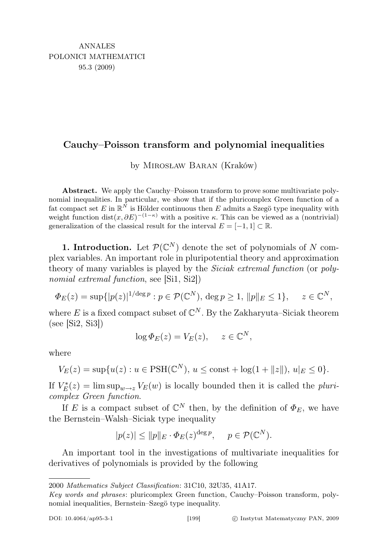## Cauchy–Poisson transform and polynomial inequalities

by Mirosław Baran (Kraków)

Abstract. We apply the Cauchy–Poisson transform to prove some multivariate polynomial inequalities. In particular, we show that if the pluricomplex Green function of a fat compact set E in  $\mathbb{R}^N$  is Hölder continuous then E admits a Szegö type inequality with weight function  $dist(x, \partial E)^{-(1-\kappa)}$  with a positive  $\kappa$ . This can be viewed as a (nontrivial) generalization of the classical result for the interval  $E = [-1,1] \subset \mathbb{R}$ .

**1. Introduction.** Let  $\mathcal{P}(\mathbb{C}^N)$  denote the set of polynomials of N complex variables. An important role in pluripotential theory and approximation theory of many variables is played by the *Siciak extremal function* (or *poly*nomial extremal function, see [Si1, Si2])

$$
\Phi_E(z) = \sup\{|p(z)|^{1/\deg p} : p \in \mathcal{P}(\mathbb{C}^N), \deg p \ge 1, \|p\|_E \le 1\}, \quad z \in \mathbb{C}^N,
$$

where E is a fixed compact subset of  $\mathbb{C}^N$ . By the Zakharyuta–Siciak theorem (see [Si2, Si3])

$$
\log \Phi_E(z) = V_E(z), \quad z \in \mathbb{C}^N,
$$

where

$$
V_E(z) = \sup \{ u(z) : u \in \text{PSH}(\mathbb{C}^N), u \le \text{const} + \log(1 + ||z||), u|_E \le 0 \}.
$$

If  $V_E^*(z) = \limsup_{w \to z} V_E(w)$  is locally bounded then it is called the pluricomplex Green function.

If E is a compact subset of  $\mathbb{C}^N$  then, by the definition of  $\Phi_E$ , we have the Bernstein–Walsh–Siciak type inequality

$$
|p(z)| \le ||p||_E \cdot \Phi_E(z)^{\deg p}, \quad p \in \mathcal{P}(\mathbb{C}^N).
$$

An important tool in the investigations of multivariate inequalities for derivatives of polynomials is provided by the following

<sup>2000</sup> Mathematics Subject Classification: 31C10, 32U35, 41A17.

Key words and phrases: pluricomplex Green function, Cauchy–Poisson transform, polynomial inequalities, Bernstein–Szegö type inequality.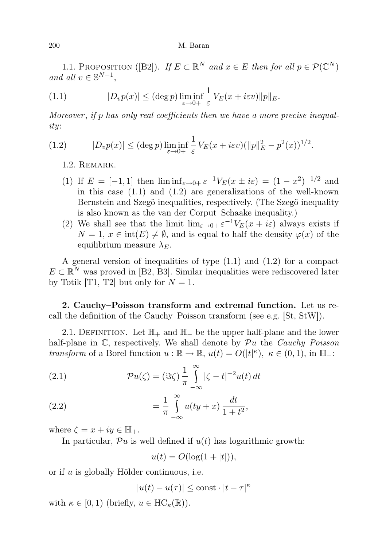1.1. PROPOSITION ([B2]). If  $E \subset \mathbb{R}^N$  and  $x \in E$  then for all  $p \in \mathcal{P}(\mathbb{C}^N)$ and all  $v \in \mathbb{S}^{N-1}$ ,

(1.1) 
$$
|D_v p(x)| \leq (\deg p) \liminf_{\varepsilon \to 0+} \frac{1}{\varepsilon} V_E(x + i\varepsilon v) \|p\|_E.
$$

Moreover , if p has only real coefficients then we have a more precise inequality:

(1.2) 
$$
|D_v p(x)| \leq (\deg p) \liminf_{\varepsilon \to 0+} \frac{1}{\varepsilon} V_E(x + i\varepsilon v) (\|p\|_E^2 - p^2(x))^{1/2}.
$$

1.2. Remark.

- (1) If  $E = [-1, 1]$  then  $\liminf_{\varepsilon \to 0+} \varepsilon^{-1} V_E(x \pm i\varepsilon) = (1 x^2)^{-1/2}$  and in this case  $(1.1)$  and  $(1.2)$  are generalizations of the well-known Bernstein and Szegö inequalities, respectively. (The Szegö inequality is also known as the van der Corput–Schaake inequality.)
- (2) We shall see that the limit  $\lim_{\varepsilon \to 0+} \varepsilon^{-1} V_E(x + i\varepsilon)$  always exists if  $N = 1, x \in \text{int}(E) \neq \emptyset$ , and is equal to half the density  $\varphi(x)$  of the equilibrium measure  $\lambda_E$ .

A general version of inequalities of type (1.1) and (1.2) for a compact  $E \subset \mathbb{R}^N$  was proved in [B2, B3]. Similar inequalities were rediscovered later by Totik [T1, T2] but only for  $N = 1$ .

2. Cauchy–Poisson transform and extremal function. Let us recall the definition of the Cauchy–Poisson transform (see e.g. [St, StW]).

2.1. DEFINITION. Let  $\mathbb{H}_+$  and  $\mathbb{H}_-$  be the upper half-plane and the lower half-plane in  $\mathbb{C}$ , respectively. We shall denote by  $\mathcal{P}u$  the *Cauchy–Poisson* transform of a Borel function  $u : \mathbb{R} \to \mathbb{R}$ ,  $u(t) = O(|t|^{\kappa})$ ,  $\kappa \in (0, 1)$ , in  $\mathbb{H}_+$ :

(2.1) 
$$
\mathcal{P}u(\zeta) = (\Im \zeta) \frac{1}{\pi} \int_{-\infty}^{\infty} |\zeta - t|^{-2} u(t) dt
$$

(2.2) 
$$
= \frac{1}{\pi} \int_{-\infty}^{\infty} u(ty + x) \frac{dt}{1 + t^2},
$$

where  $\zeta = x + iy \in \mathbb{H}_+$ .

In particular,  $\mathcal{P}u$  is well defined if  $u(t)$  has logarithmic growth:

$$
u(t) = O(\log(1+|t|)),
$$

or if u is globally Hölder continuous, i.e.

$$
|u(t) - u(\tau)| \le \text{const} \cdot |t - \tau|^{\kappa}
$$

with  $\kappa \in [0, 1)$  (briefly,  $u \in \text{HC}_{\kappa}(\mathbb{R})$ ).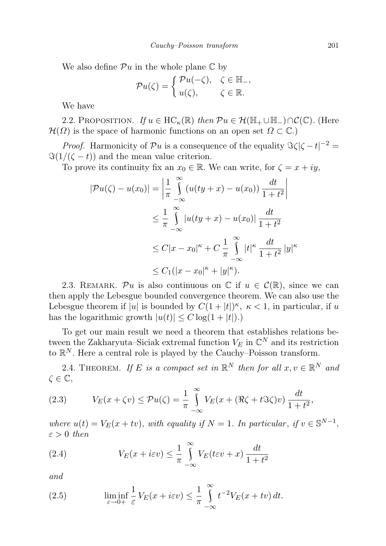We also define  $\mathcal{P}u$  in the whole plane  $\mathbb C$  by

$$
\mathcal{P}u(\zeta) = \begin{cases} \mathcal{P}u(-\zeta), & \zeta \in \mathbb{H}_-, \\ u(\zeta), & \zeta \in \mathbb{R}. \end{cases}
$$

We have

2.2. PROPOSITION. If  $u \in \textup{HC}_{\kappa}(\mathbb{R})$  then  $\mathcal{P}u \in \mathcal{H}(\mathbb{H}_{+} \cup \mathbb{H}_{-}) \cap \mathcal{C}(\mathbb{C})$ . (Here  $\mathcal{H}(\Omega)$  is the space of harmonic functions on an open set  $\Omega \subset \mathbb{C}$ .)

*Proof.* Harmonicity of  $\mathcal{P}u$  is a consequence of the equality  $\Im \zeta |\zeta - t|^{-2} =$  $\Im(1/(\zeta - t))$  and the mean value criterion.

To prove its continuity fix an  $x_0 \in \mathbb{R}$ . We can write, for  $\zeta = x + iy$ ,

$$
|\mathcal{P}u(\zeta) - u(x_0)| = \left| \frac{1}{\pi} \int_{-\infty}^{\infty} (u(ty + x) - u(x_0)) \frac{dt}{1 + t^2} \right|
$$
  

$$
\leq \frac{1}{\pi} \int_{-\infty}^{\infty} |u(ty + x) - u(x_0)| \frac{dt}{1 + t^2}
$$
  

$$
\leq C|x - x_0|^{\kappa} + C \frac{1}{\pi} \int_{-\infty}^{\infty} |t|^{\kappa} \frac{dt}{1 + t^2} |y|^{\kappa}
$$
  

$$
\leq C_1(|x - x_0|^{\kappa} + |y|^{\kappa}).
$$

2.3. REMARK. Pu is also continuous on  $\mathbb C$  if  $u \in \mathcal C(\mathbb R)$ , since we can then apply the Lebesgue bounded convergence theorem. We can also use the Lebesgue theorem if |u| is bounded by  $C(1+|t|)^{\kappa}$ ,  $\kappa < 1$ , in particular, if u has the logarithmic growth  $|u(t)| \leq C \log(1+|t|)$ .

To get our main result we need a theorem that establishes relations between the Zakharyuta–Siciak extremal function  $V_E$  in  $\mathbb{C}^N$  and its restriction to  $\mathbb{R}^N$ . Here a central role is played by the Cauchy–Poisson transform.

2.4. THEOREM. If E is a compact set in  $\mathbb{R}^N$  then for all  $x, v \in \mathbb{R}^N$  and  $\zeta \in \mathbb{C}$ ,

(2.3) 
$$
V_E(x + \zeta v) \le \mathcal{P}u(\zeta) = \frac{1}{\pi} \int_{-\infty}^{\infty} V_E(x + (\Re \zeta + t \Im \zeta)v) \frac{dt}{1 + t^2},
$$

where  $u(t) = V_E(x + tv)$ , with equality if  $N = 1$ . In particular, if  $v \in \mathbb{S}^{N-1}$ ,  $\varepsilon > 0$  then

(2.4) 
$$
V_E(x + i\varepsilon v) \leq \frac{1}{\pi} \int_{-\infty}^{\infty} V_E(t\varepsilon v + x) \frac{dt}{1 + t^2}
$$

and

(2.5) 
$$
\liminf_{\varepsilon \to 0+} \frac{1}{\varepsilon} V_E(x + i\varepsilon v) \leq \frac{1}{\pi} \int_{-\infty}^{\infty} t^{-2} V_E(x + tv) dt.
$$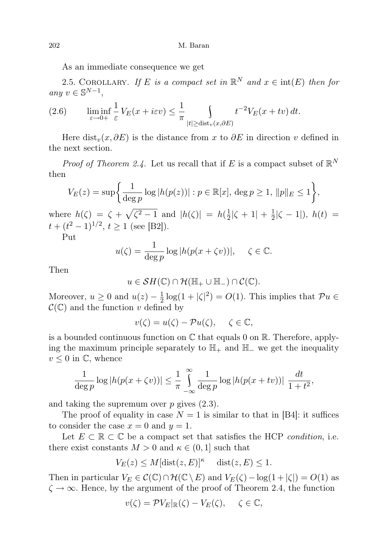As an immediate consequence we get

2.5. COROLLARY. If E is a compact set in  $\mathbb{R}^N$  and  $x \in \text{int}(E)$  then for any  $v \in \mathbb{S}^{N-1}$ ,

(2.6) 
$$
\liminf_{\varepsilon \to 0+} \frac{1}{\varepsilon} V_E(x + i\varepsilon v) \leq \frac{1}{\pi} \int_{|t| \geq \text{dist}_v(x, \partial E)} t^{-2} V_E(x + tv) dt.
$$

Here dist<sub>v</sub> $(x, \partial E)$  is the distance from x to  $\partial E$  in direction v defined in the next section.

*Proof of Theorem 2.4.* Let us recall that if E is a compact subset of  $\mathbb{R}^N$ then

$$
V_E(z) = \sup \left\{ \frac{1}{\deg p} \log |h(p(z))| : p \in \mathbb{R}[x], \deg p \ge 1, \|p\|_E \le 1 \right\},\,
$$

where  $h(\zeta) = \zeta + \sqrt{\zeta^2 - 1}$  and  $|h(\zeta)| = h(\frac{1}{2})$  $\frac{1}{2}|\zeta + 1| + \frac{1}{2}$  $\frac{1}{2}|\zeta - 1|$ ,  $h(t) =$  $t + (t^2 - 1)^{1/2}, t \ge 1$  (see [B2]).

Put

$$
u(\zeta) = \frac{1}{\deg p} \log |h(p(x + \zeta v))|, \quad \zeta \in \mathbb{C}.
$$

Then

$$
u\in \mathcal{S}H(\mathbb{C})\cap \mathcal{H}(\mathbb{H}_{+}\cup \mathbb{H}_{-})\cap \mathcal{C}(\mathbb{C}).
$$

Moreover,  $u \geq 0$  and  $u(z) - \frac{1}{2}$  $\frac{1}{2}\log(1+|\zeta|^2) = O(1)$ . This implies that  $\mathcal{P}u \in$  $\mathcal{C}(\mathbb{C})$  and the function v defined by

$$
v(\zeta) = u(\zeta) - \mathcal{P}u(\zeta), \quad \zeta \in \mathbb{C},
$$

is a bounded continuous function on  $\mathbb C$  that equals 0 on  $\mathbb R$ . Therefore, applying the maximum principle separately to  $\mathbb{H}_+$  and  $\mathbb{H}_-$  we get the inequality  $v \leq 0$  in  $\mathbb{C}$ , whence

$$
\frac{1}{\deg p} \log |h(p(x+\zeta v))| \le \frac{1}{\pi} \int_{-\infty}^{\infty} \frac{1}{\deg p} \log |h(p(x+tv))| \frac{dt}{1+t^2},
$$

and taking the supremum over  $p$  gives  $(2.3)$ .

The proof of equality in case  $N = 1$  is similar to that in [B4]: it suffices to consider the case  $x = 0$  and  $y = 1$ .

Let  $E \subset \mathbb{R} \subset \mathbb{C}$  be a compact set that satisfies the HCP *condition*, i.e. there exist constants  $M > 0$  and  $\kappa \in (0, 1]$  such that

$$
V_E(z) \le M[\text{dist}(z, E)]^{\kappa} \quad \text{dist}(z, E) \le 1.
$$

Then in particular  $V_E \in \mathcal{C}(\mathbb{C}) \cap \mathcal{H}(\mathbb{C} \setminus E)$  and  $V_E(\zeta) - \log(1 + |\zeta|) = O(1)$  as  $\zeta \to \infty$ . Hence, by the argument of the proof of Theorem 2.4, the function

$$
v(\zeta) = \mathcal{P}V_E|_{\mathbb{R}}(\zeta) - V_E(\zeta), \quad \zeta \in \mathbb{C},
$$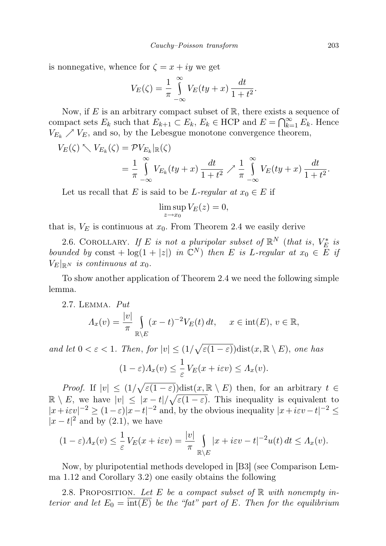is nonnegative, whence for  $\zeta = x + iy$  we get

$$
V_E(\zeta) = \frac{1}{\pi} \int_{-\infty}^{\infty} V_E(ty + x) \frac{dt}{1 + t^2}.
$$

Now, if E is an arbitrary compact subset of  $\mathbb{R}$ , there exists a sequence of compact sets  $E_k$  such that  $E_{k+1} \subset E_k$ ,  $E_k \in \text{HCP}$  and  $E = \bigcap_{k=1}^{\infty} E_k$ . Hence  $V_{E_k} \nearrow V_E$ , and so, by the Lebesgue monotone convergence theorem,

$$
V_E(\zeta) \nwarrow V_{E_k}(\zeta) = \mathcal{P} V_{E_k} |_{\mathbb{R}}(\zeta)
$$
  
=  $\frac{1}{\pi} \int_{-\infty}^{\infty} V_{E_k}(ty+x) \frac{dt}{1+t^2} \nearrow \frac{1}{\pi} \int_{-\infty}^{\infty} V_E(ty+x) \frac{dt}{1+t^2}.$ 

Let us recall that E is said to be L-regular at  $x_0 \in E$  if

$$
\limsup_{z \to x_0} V_E(z) = 0,
$$

that is,  $V_E$  is continuous at  $x_0$ . From Theorem 2.4 we easily derive

2.6. COROLLARY. If E is not a pluripolar subset of  $\mathbb{R}^N$  (that is,  $V_E^*$  is bounded by const +  $log(1 + |z|)$  in  $\mathbb{C}^N$ ) then E is L-regular at  $x_0 \in \overline{E}$  if  $V_E|_{\mathbb{R}^N}$  is continuous at  $x_0$ .

To show another application of Theorem 2.4 we need the following simple lemma.

2.7. Lemma. Put

$$
\Lambda_x(v) = \frac{|v|}{\pi} \int_{\mathbb{R}\setminus E} (x - t)^{-2} V_E(t) dt, \quad x \in \text{int}(E), \ v \in \mathbb{R},
$$

and let  $0 < \varepsilon < 1$ . Then, for  $|v| \leq (1/\sqrt{\varepsilon(1-\varepsilon)})$ dist $(x, \mathbb{R} \setminus E)$ , one has  $(1-\varepsilon)A_x(v) \leq \frac{1}{2}$  $\frac{1}{\varepsilon}V_E(x+i\varepsilon v)\leq \Lambda_x(v).$ 

*Proof.* If  $|v| \leq (1/\sqrt{\varepsilon(1-\varepsilon)})\text{dist}(x,\mathbb{R}\setminus E)$  then, for an arbitrary  $t \in$  $\mathbb{R} \setminus E$ , we have  $|v| \leq |x-t|/\sqrt{\varepsilon(1-\varepsilon)}$ . This inequality is equivalent to  $|x+i\epsilon v|^{-2} \ge (1-\epsilon)|x-t|^{-2}$  and, by the obvious inequality  $|x+i\epsilon v-t|^{-2} \le$  $|x-t|^2$  and by (2.1), we have

$$
(1 - \varepsilon) \Lambda_x(v) \leq \frac{1}{\varepsilon} V_E(x + i\varepsilon v) = \frac{|v|}{\pi} \int_{\mathbb{R} \setminus E} |x + i\varepsilon v - t|^{-2} u(t) dt \leq \Lambda_x(v).
$$

Now, by pluripotential methods developed in [B3] (see Comparison Lemma 1.12 and Corollary 3.2) one easily obtains the following

2.8. PROPOSITION. Let E be a compact subset of  $\mathbb R$  with nonempty interior and let  $E_0 = \overline{\text{int}(E)}$  be the "fat" part of E. Then for the equilibrium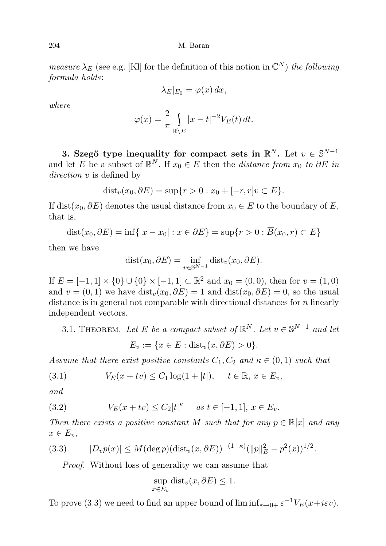204 M. Baran

measure  $\lambda_E$  (see e.g. [Kl] for the definition of this notion in  $\mathbb{C}^N$ ) the following formula holds:

$$
\lambda_E|_{E_0} = \varphi(x) \, dx,
$$

where

$$
\varphi(x) = \frac{2}{\pi} \int_{\mathbb{R} \setminus E} |x - t|^{-2} V_E(t) dt.
$$

3. Szegö type inequality for compact sets in  $\mathbb{R}^N$ . Let  $v \in \mathbb{S}^{N-1}$ and let E be a subset of  $\mathbb{R}^N$ . If  $x_0 \in E$  then the *distance from*  $x_0$  to  $\partial E$  in direction v is defined by

$$
dist_v(x_0, \partial E) = \sup\{r > 0 : x_0 + [-r, r]v \subset E\}.
$$

If dist( $x_0, \partial E$ ) denotes the usual distance from  $x_0 \in E$  to the boundary of E, that is,

$$
dist(x_0, \partial E) = inf\{|x - x_0| : x \in \partial E\} = sup\{r > 0 : \overline{B}(x_0, r) \subset E\}
$$

then we have

$$
dist(x_0, \partial E) = \inf_{v \in \mathbb{S}^{N-1}} dist_v(x_0, \partial E).
$$

If  $E = [-1, 1] \times \{0\} \cup \{0\} \times [-1, 1] \subset \mathbb{R}^2$  and  $x_0 = (0, 0)$ , then for  $v = (1, 0)$ and  $v = (0, 1)$  we have  $dist_v(x_0, \partial E) = 1$  and  $dist(x_0, \partial E) = 0$ , so the usual distance is in general not comparable with directional distances for  $n$  linearly independent vectors.

3.1. THEOREM. Let E be a compact subset of  $\mathbb{R}^N$ . Let  $v \in \mathbb{S}^{N-1}$  and let  $E_v := \{x \in E : \text{dist}_v(x, \partial E) > 0\}.$ 

Assume that there exist positive constants  $C_1, C_2$  and  $\kappa \in (0,1)$  such that

(3.1) 
$$
V_E(x + tv) \le C_1 \log(1 + |t|), \quad t \in \mathbb{R}, \ x \in E_v,
$$

and

(3.2) 
$$
V_E(x + tv) \le C_2 |t|^{\kappa} \quad \text{as } t \in [-1, 1], \, x \in E_v.
$$

Then there exists a positive constant M such that for any  $p \in \mathbb{R}[x]$  and any  $x \in E_v$ ,

(3.3) 
$$
|D_v p(x)| \le M(\deg p)(\text{dist}_v(x,\partial E))^{-(1-\kappa)} (||p||_E^2 - p^2(x))^{1/2}.
$$

Proof. Without loss of generality we can assume that

$$
\sup_{x \in E_v} \text{dist}_v(x, \partial E) \le 1.
$$

To prove (3.3) we need to find an upper bound of  $\liminf_{\varepsilon \to 0+} \varepsilon^{-1} V_E(x + i\varepsilon v)$ .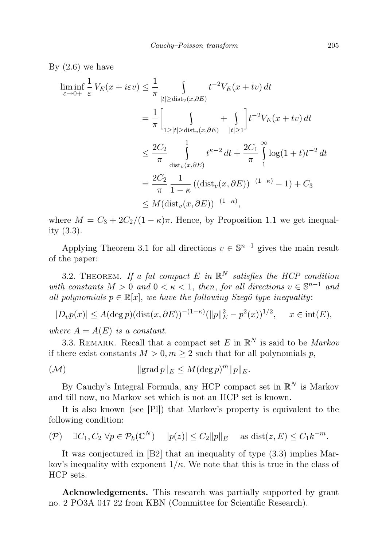By  $(2.6)$  we have

$$
\liminf_{\varepsilon \to 0+} \frac{1}{\varepsilon} V_E(x + i\varepsilon v) \leq \frac{1}{\pi} \int_{|t| \geq \text{dist}_v(x, \partial E)} t^{-2} V_E(x + tv) dt
$$
\n
$$
= \frac{1}{\pi} \Biggl[ \int_{1 \geq |t| \geq \text{dist}_v(x, \partial E)} + \int_{|t| \geq 1} t^{-2} V_E(x + tv) dt \Biggr]
$$
\n
$$
\leq \frac{2C_2}{\pi} \int_{\text{dist}_v(x, \partial E)} t^{\kappa - 2} dt + \frac{2C_1}{\pi} \int_{1}^{\infty} \log(1 + t) t^{-2} dt
$$
\n
$$
= \frac{2C_2}{\pi} \frac{1}{1 - \kappa} ((\text{dist}_v(x, \partial E))^{-(1 - \kappa)} - 1) + C_3
$$
\n
$$
\leq M (\text{dist}_v(x, \partial E))^{-(1 - \kappa)},
$$

where  $M = C_3 + 2C_2/(1 - \kappa)\pi$ . Hence, by Proposition 1.1 we get inequality (3.3).

Applying Theorem 3.1 for all directions  $v \in \mathbb{S}^{n-1}$  gives the main result of the paper:

3.2. THEOREM. If a fat compact E in  $\mathbb{R}^N$  satisfies the HCP condition with constants  $M > 0$  and  $0 < \kappa < 1$ , then, for all directions  $v \in \mathbb{S}^{n-1}$  and all polynomials  $p \in \mathbb{R}[x]$ , we have the following Szegö type inequality:

$$
|D_v p(x)| \le A(\deg p)(\text{dist}(x,\partial E))^{-(1-\kappa)} (||p||_E^2 - p^2(x))^{1/2}, \quad x \in \text{int}(E),
$$

where  $A = A(E)$  is a constant.

3.3. REMARK. Recall that a compact set E in  $\mathbb{R}^N$  is said to be *Markov* if there exist constants  $M > 0, m \ge 2$  such that for all polynomials p,

$$
(\mathcal{M}) \qquad \qquad \|\text{grad }p\|_{E} \leq M(\text{deg }p)^{m}\|p\|_{E}.
$$

By Cauchy's Integral Formula, any HCP compact set in  $\mathbb{R}^N$  is Markov and till now, no Markov set which is not an HCP set is known.

It is also known (see [Pl]) that Markov's property is equivalent to the following condition:

$$
(\mathcal{P}) \quad \exists C_1, C_2 \,\forall p \in \mathcal{P}_k(\mathbb{C}^N) \quad |p(z)| \le C_2 \|p\|_E \quad \text{as } \text{dist}(z, E) \le C_1 k^{-m}.
$$

It was conjectured in [B2] that an inequality of type (3.3) implies Markov's inequality with exponent  $1/\kappa$ . We note that this is true in the class of HCP sets.

Acknowledgements. This research was partially supported by grant no. 2 PO3A 047 22 from KBN (Committee for Scientific Research).